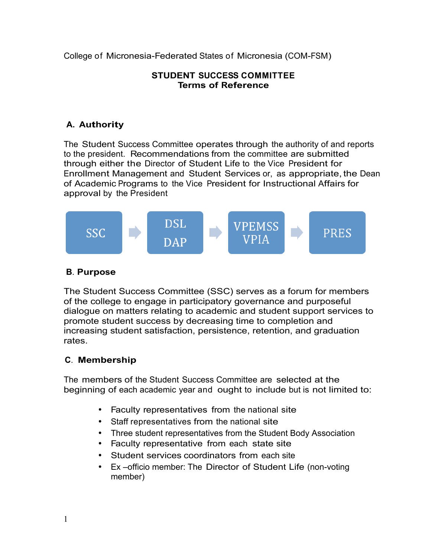College of Micronesia-Federated States of Micronesia (COM-FSM)

#### **STUDENT SUCCESS COMMITTEE Terms of Reference**

# **A. Authority**

The Student Success Committee operates through the authority of and reports to the president. Recommendations from the committee are submitted through either the Director of Student Life to the Vice President for Enrollment Management and Student Services or, as appropriate, the Dean of Academic Programs to the Vice President for Instructional Affairs for approval by the President



### **B**. **Purpose**

The Student Success Committee (SSC) serves as a forum for members of the college to engage in participatory governance and purposeful dialogue on matters relating to academic and student support services to promote student success by decreasing time to completion and increasing student satisfaction, persistence, retention, and graduation rates.

# **C**. **Membership**

The members of the Student Success Committee are selected at the beginning of each academic year and ought to include but is not limited to:

- Faculty representatives from the national site
- Staff representatives from the national site
- Three student representatives from the Student Body Association
- Faculty representative from each state site
- Student services coordinators from each site
- Ex –officio member: The Director of Student Life (non-voting member)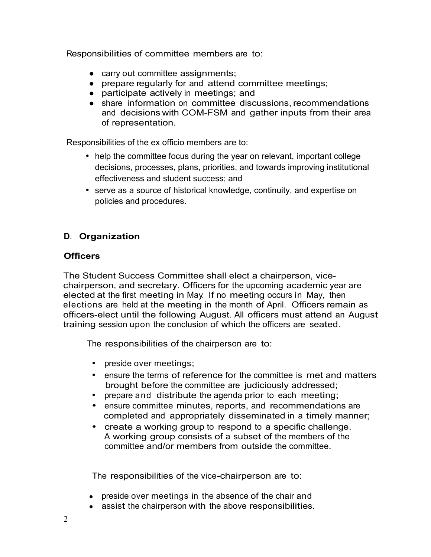Responsibilities of committee members are to:

- carry out committee assignments;
- prepare regularly for and attend committee meetings;
- participate actively in meetings; and
- share information on committee discussions, recommendations and decisions with COM-FSM and gather inputs from their area of representation.

Responsibilities of the ex officio members are to:

- help the committee focus during the year on relevant, important college decisions, processes, plans, priorities, and towards improving institutional effectiveness and student success; and
- serve as a source of historical knowledge, continuity, and expertise on policies and procedures.

## **D**. **Organization**

#### **Officers**

The Student Success Committee shall elect a chairperson, vicechairperson, and secretary. Officers for the upcoming academic year are elected at the first meeting in May. If no meeting occurs in May, then elections are held at the meeting in the month of April. Officers remain as officers-elect until the following August. All officers must attend an August training session upon the conclusion of which the officers are seated.

The responsibilities of the chairperson are to:

- preside over meetings;
- ensure the terms of reference for the committee is met and matters brought before the committee are judiciously addressed;
- prepare and distribute the agenda prior to each meeting;
- ensure committee minutes, reports, and recommendations are completed and appropriately disseminated in a timely manner;
- create a working group to respond to a specific challenge. A working group consists of a subset of the members of the committee and/or members from outside the committee.

The responsibilities of the vice**-**chairperson are to:

- preside over meetings in the absence of the chair and
- assist the chairperson with the above responsibilities.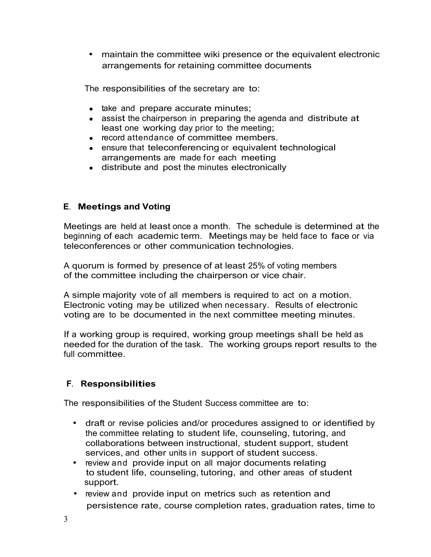• maintain the committee wiki presence or the equivalent electronic arrangements for retaining committee documents

The responsibilities of the secretary are to:

- take and prepare accurate minutes;
- assist the chairperson in preparing the agenda and distribute at least one working day prior to the meeting;
- record attendance of committee members.
- ensure that teleconferencing or equivalent technological arrangements are made for each meeting
- distribute and post the minutes electronically

## **<sup>E</sup>**. **Meetings and Voting**

Meetings are held at least once a month. The schedule is determined at the beginning of each academic term. Meetings may be held face to face or via teleconferences or other communication technologies.

A quorum is formed by presence of at least 25% of voting members of the committee including the chairperson or vice chair.

A simple majority vote of all members is required to act on a motion. Electronic voting may be utilized when necessary. Results of electronic voting are to be documented in the next committee meeting minutes.

If a working group is required, working group meetings shall be held as needed for the duration of the task. The working groups report results to the full committee.

# **<sup>F</sup>**. **Responsibilities**

The responsibilities of the Student Success committee are to:

- draft or revise policies and/or procedures assigned to or identified by the committee relating to student life, counseling, tutoring, and collaborations between instructional, student support, student services, and other units in support of student success.
- review and provide input on all major documents relating to student life, counseling, tutoring, and other areas of student support.
- review and provide input on metrics such as retention and persistence rate, course completion rates, graduation rates, time to